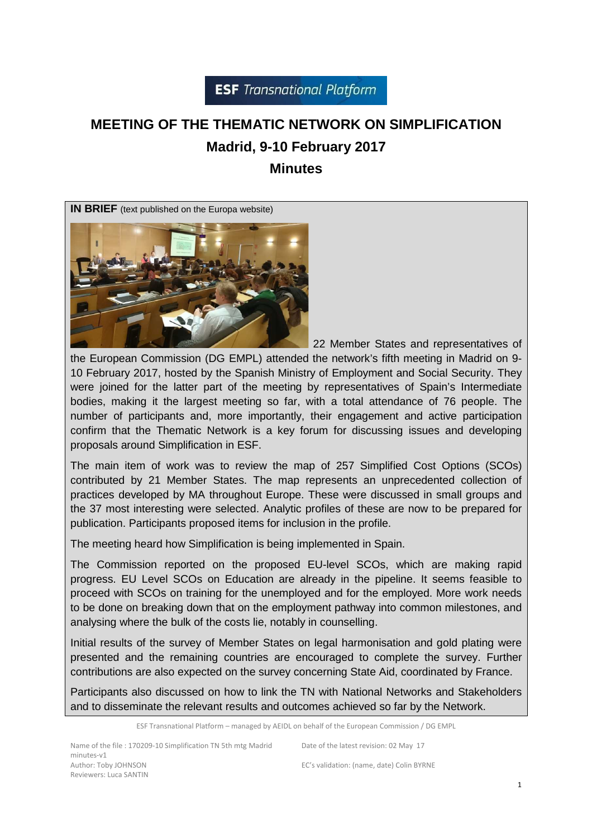# **ESF** Transnational Platform

# **MEETING OF THE THEMATIC NETWORK ON SIMPLIFICATION Madrid, 9-10 February 2017**

**Minutes** 

**IN BRIEF** (text published on the Europa website)



22 Member States and representatives of

the European Commission (DG EMPL) attended the network's fifth meeting in Madrid on 9- 10 February 2017, hosted by the Spanish Ministry of Employment and Social Security. They were joined for the latter part of the meeting by representatives of Spain's Intermediate bodies, making it the largest meeting so far, with a total attendance of 76 people. The number of participants and, more importantly, their engagement and active participation confirm that the Thematic Network is a key forum for discussing issues and developing proposals around Simplification in ESF.

The main item of work was to review the map of 257 Simplified Cost Options (SCOs) contributed by 21 Member States. The map represents an unprecedented collection of practices developed by MA throughout Europe. These were discussed in small groups and the 37 most interesting were selected. Analytic profiles of these are now to be prepared for publication. Participants proposed items for inclusion in the profile.

The meeting heard how Simplification is being implemented in Spain.

The Commission reported on the proposed EU-level SCOs, which are making rapid progress. EU Level SCOs on Education are already in the pipeline. It seems feasible to proceed with SCOs on training for the unemployed and for the employed. More work needs to be done on breaking down that on the employment pathway into common milestones, and analysing where the bulk of the costs lie, notably in counselling.

Initial results of the survey of Member States on legal harmonisation and gold plating were presented and the remaining countries are encouraged to complete the survey. Further contributions are also expected on the survey concerning State Aid, coordinated by France.

Participants also discussed on how to link the TN with National Networks and Stakeholders and to disseminate the relevant results and outcomes achieved so far by the Network.

ESF Transnational Platform – managed by AEIDL on behalf of the European Commission / DG EMPL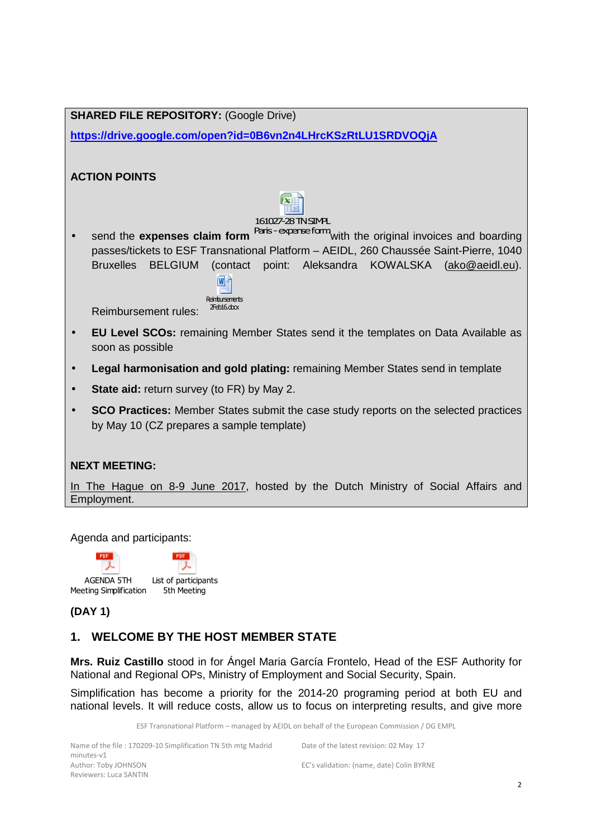**SHARED FILE REPOSITORY: (Google Drive)** 

**https://drive.google.com/open?id=0B6vn2n4LHrcKSzRtLU1SRDVOQjA**

## **ACTION POINTS**



• send the **expenses claim form** Paris-expenseform with the original invoices and boarding passes/tickets to ESF Transnational Platform – AEIDL, 260 Chaussée Saint-Pierre, 1040 Bruxelles BELGIUM (contact point: Aleksandra KOWALSKA (ako@aeidl.eu). ₩₫

Reimbursement rules: Reimbursements  $2Feb16.$ do $x$ 

- **EU Level SCOs:** remaining Member States send it the templates on Data Available as soon as possible
- **Legal harmonisation and gold plating:** remaining Member States send in template
- **State aid:** return survey (to FR) by May 2.
- **SCO Practices:** Member States submit the case study reports on the selected practices by May 10 (CZ prepares a sample template)

## **NEXT MEETING:**

In The Hague on 8-9 June 2017, hosted by the Dutch Ministry of Social Affairs and Employment.

Agenda and participants:



## **(DAY 1)**

## **1. WELCOME BY THE HOST MEMBER STATE**

**Mrs. Ruiz Castillo** stood in for Ángel Maria García Frontelo, Head of the ESF Authority for National and Regional OPs, Ministry of Employment and Social Security, Spain.

Simplification has become a priority for the 2014-20 programing period at both EU and national levels. It will reduce costs, allow us to focus on interpreting results, and give more

ESF Transnational Platform – managed by AEIDL on behalf of the European Commission / DG EMPL

Name of the file : 170209-10 Simplification TN 5th mtg Madrid minutes-v1 Author: Toby JOHNSON Reviewers: Luca SANTIN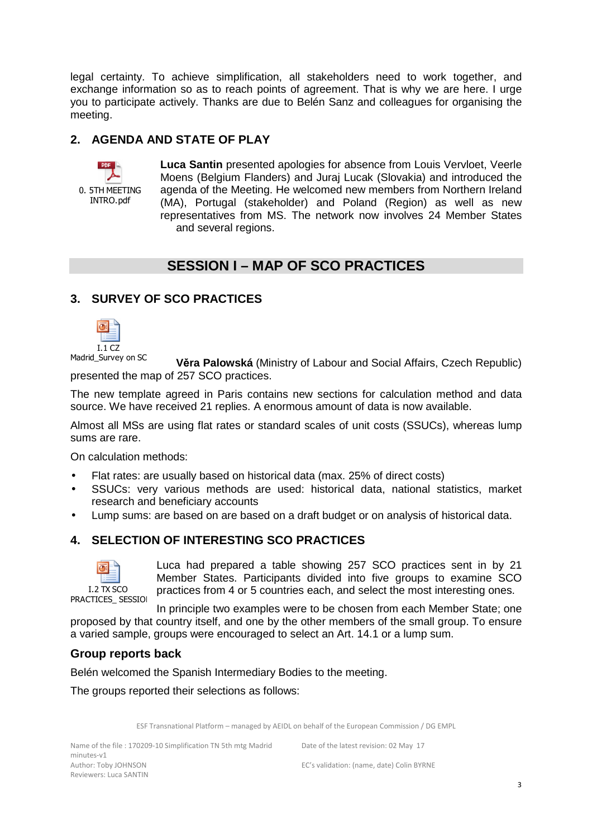legal certainty. To achieve simplification, all stakeholders need to work together, and exchange information so as to reach points of agreement. That is why we are here. I urge you to participate actively. Thanks are due to Belén Sanz and colleagues for organising the meeting.

## **2. AGENDA AND STATE OF PLAY**



**Luca Santin** presented apologies for absence from Louis Vervloet, Veerle Moens (Belgium Flanders) and Juraj Lucak (Slovakia) and introduced the agenda of the Meeting. He welcomed new members from Northern Ireland (MA), Portugal (stakeholder) and Poland (Region) as well as new representatives from MS. The network now involves 24 Member States and several regions.

# **SESSION I – MAP OF SCO PRACTICES**

## **3. SURVEY OF SCO PRACTICES**



I.1 CZ<br>Madrid Survey on SC

**Věra Palowská** (Ministry of Labour and Social Affairs, Czech Republic) presented the map of 257 SCO practices.

The new template agreed in Paris contains new sections for calculation method and data source. We have received 21 replies. A enormous amount of data is now available.

Almost all MSs are using flat rates or standard scales of unit costs (SSUCs), whereas lump sums are rare.

On calculation methods:

- Flat rates: are usually based on historical data (max. 25% of direct costs)
- SSUCs: very various methods are used: historical data, national statistics, market research and beneficiary accounts
- Lump sums: are based on are based on a draft budget or on analysis of historical data.

## **4. SELECTION OF INTERESTING SCO PRACTICES**



Luca had prepared a table showing 257 SCO practices sent in by 21 Member States. Participants divided into five groups to examine SCO practices from 4 or 5 countries each, and select the most interesting ones.

In principle two examples were to be chosen from each Member State; one proposed by that country itself, and one by the other members of the small group. To ensure a varied sample, groups were encouraged to select an Art. 14.1 or a lump sum.

## **Group reports back**

Belén welcomed the Spanish Intermediary Bodies to the meeting.

The groups reported their selections as follows:

ESF Transnational Platform – managed by AEIDL on behalf of the European Commission / DG EMPL

Name of the file : 170209-10 Simplification TN 5th mtg Madrid minutes-v1 Author: Toby JOHNSON Reviewers: Luca SANTIN

Date of the latest revision: 02 May 17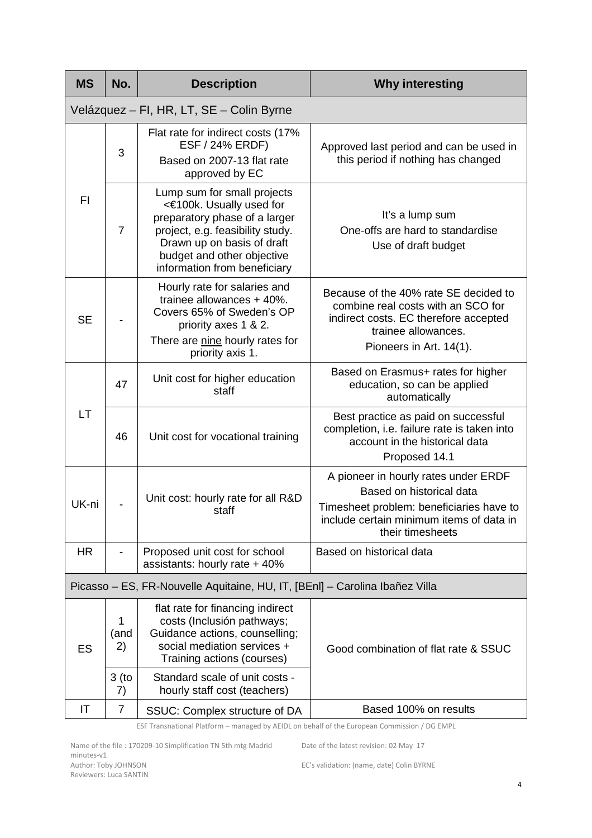| <b>MS</b>                                                                   | No.                    | <b>Description</b>                                                                                                                                                                                                       | <b>Why interesting</b>                                                                                                                                                       |  |  |
|-----------------------------------------------------------------------------|------------------------|--------------------------------------------------------------------------------------------------------------------------------------------------------------------------------------------------------------------------|------------------------------------------------------------------------------------------------------------------------------------------------------------------------------|--|--|
| Velázquez – FI, HR, LT, SE – Colin Byrne                                    |                        |                                                                                                                                                                                                                          |                                                                                                                                                                              |  |  |
| FI                                                                          | 3                      | Flat rate for indirect costs (17%<br><b>ESF / 24% ERDF)</b><br>Based on 2007-13 flat rate<br>approved by EC                                                                                                              | Approved last period and can be used in<br>this period if nothing has changed                                                                                                |  |  |
|                                                                             | $\overline{7}$         | Lump sum for small projects<br><€100k. Usually used for<br>preparatory phase of a larger<br>project, e.g. feasibility study.<br>Drawn up on basis of draft<br>budget and other objective<br>information from beneficiary | It's a lump sum<br>One-offs are hard to standardise<br>Use of draft budget                                                                                                   |  |  |
| <b>SE</b>                                                                   |                        | Hourly rate for salaries and<br>trainee allowances + 40%.<br>Covers 65% of Sweden's OP<br>priority axes 1 & 2.<br>There are nine hourly rates for<br>priority axis 1.                                                    | Because of the 40% rate SE decided to<br>combine real costs with an SCO for<br>indirect costs. EC therefore accepted<br>trainee allowances.<br>Pioneers in Art. 14(1).       |  |  |
| LT                                                                          | 47                     | Unit cost for higher education<br>staff                                                                                                                                                                                  | Based on Erasmus+ rates for higher<br>education, so can be applied<br>automatically                                                                                          |  |  |
|                                                                             | 46                     | Unit cost for vocational training                                                                                                                                                                                        | Best practice as paid on successful<br>completion, i.e. failure rate is taken into<br>account in the historical data<br>Proposed 14.1                                        |  |  |
| UK-ni                                                                       |                        | Unit cost: hourly rate for all R&D<br>staff                                                                                                                                                                              | A pioneer in hourly rates under ERDF<br>Based on historical data<br>Timesheet problem: beneficiaries have to<br>include certain minimum items of data in<br>their timesheets |  |  |
| HR.                                                                         |                        | Proposed unit cost for school<br>assistants: hourly rate + 40%                                                                                                                                                           | Based on historical data                                                                                                                                                     |  |  |
| Picasso – ES, FR-Nouvelle Aquitaine, HU, IT, [BEnI] – Carolina Ibañez Villa |                        |                                                                                                                                                                                                                          |                                                                                                                                                                              |  |  |
| ES                                                                          | 1<br>(and<br>2)        | flat rate for financing indirect<br>costs (Inclusión pathways;<br>Guidance actions, counselling;<br>social mediation services +<br>Training actions (courses)                                                            | Good combination of flat rate & SSUC                                                                                                                                         |  |  |
|                                                                             | 3 <sub>(to</sub><br>7) | Standard scale of unit costs -<br>hourly staff cost (teachers)                                                                                                                                                           |                                                                                                                                                                              |  |  |
| ΙT                                                                          | $\overline{7}$         | SSUC: Complex structure of DA                                                                                                                                                                                            | Based 100% on results                                                                                                                                                        |  |  |

ESF Transnational Platform – managed by AEIDL on behalf of the European Commission / DG EMPL

Name of the file : 170209-10 Simplification TN 5th mtg Madrid minutes-v1 Author: Toby JOHNSON Reviewers: Luca SANTIN

Date of the latest revision: 02 May 17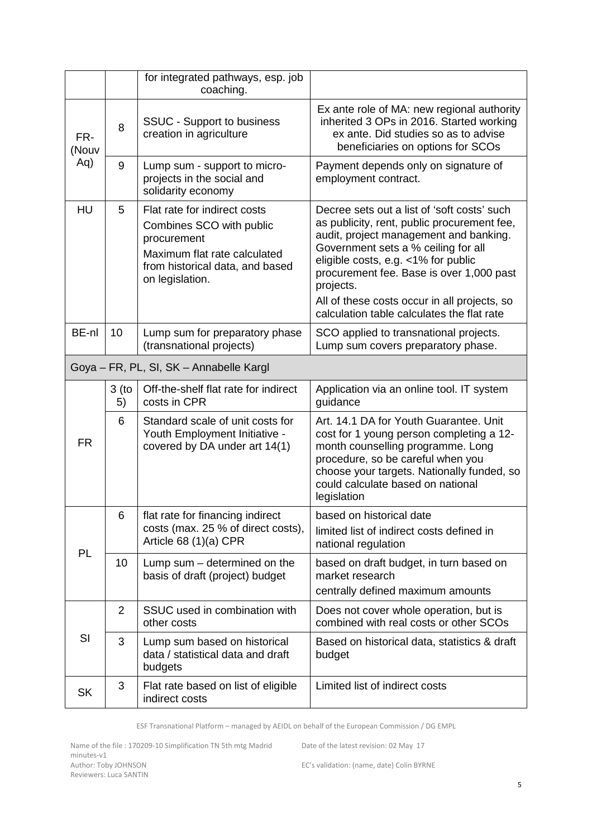|                                         |                | for integrated pathways, esp. job<br>coaching.                                                                                                                |                                                                                                                                                                                                                                                                                                                                                                           |  |
|-----------------------------------------|----------------|---------------------------------------------------------------------------------------------------------------------------------------------------------------|---------------------------------------------------------------------------------------------------------------------------------------------------------------------------------------------------------------------------------------------------------------------------------------------------------------------------------------------------------------------------|--|
| FR-<br>(Nouv<br>Aq)                     | 8              | <b>SSUC</b> - Support to business<br>creation in agriculture                                                                                                  | Ex ante role of MA: new regional authority<br>inherited 3 OPs in 2016. Started working<br>ex ante. Did studies so as to advise<br>beneficiaries on options for SCOs                                                                                                                                                                                                       |  |
|                                         | 9              | Lump sum - support to micro-<br>projects in the social and<br>solidarity economy                                                                              | Payment depends only on signature of<br>employment contract.                                                                                                                                                                                                                                                                                                              |  |
| HU                                      | 5              | Flat rate for indirect costs<br>Combines SCO with public<br>procurement<br>Maximum flat rate calculated<br>from historical data, and based<br>on legislation. | Decree sets out a list of 'soft costs' such<br>as publicity, rent, public procurement fee,<br>audit, project management and banking.<br>Government sets a % ceiling for all<br>eligible costs, e.g. <1% for public<br>procurement fee. Base is over 1,000 past<br>projects.<br>All of these costs occur in all projects, so<br>calculation table calculates the flat rate |  |
| BE-nl                                   | 10             | Lump sum for preparatory phase<br>(transnational projects)                                                                                                    | SCO applied to transnational projects.<br>Lump sum covers preparatory phase.                                                                                                                                                                                                                                                                                              |  |
| Goya - FR, PL, SI, SK - Annabelle Kargl |                |                                                                                                                                                               |                                                                                                                                                                                                                                                                                                                                                                           |  |
| <b>FR</b>                               | $3$ (to<br>5)  | Off-the-shelf flat rate for indirect<br>costs in CPR                                                                                                          | Application via an online tool. IT system<br>guidance                                                                                                                                                                                                                                                                                                                     |  |
|                                         | 6              | Standard scale of unit costs for<br>Youth Employment Initiative -<br>covered by DA under art 14(1)                                                            | Art. 14.1 DA for Youth Guarantee. Unit<br>cost for 1 young person completing a 12-<br>month counselling programme. Long<br>procedure, so be careful when you<br>choose your targets. Nationally funded, so<br>could calculate based on national<br>legislation                                                                                                            |  |
| PL                                      | 6              | flat rate for financing indirect<br>costs (max. 25 % of direct costs),<br>Article 68 $(1)(a)$ CPR                                                             | based on historical date<br>limited list of indirect costs defined in<br>national regulation                                                                                                                                                                                                                                                                              |  |
|                                         | 10             | Lump sum - determined on the<br>basis of draft (project) budget                                                                                               | based on draft budget, in turn based on<br>market research<br>centrally defined maximum amounts                                                                                                                                                                                                                                                                           |  |
| SI                                      | $\overline{2}$ | SSUC used in combination with<br>other costs                                                                                                                  | Does not cover whole operation, but is<br>combined with real costs or other SCOs                                                                                                                                                                                                                                                                                          |  |
|                                         | 3              | Lump sum based on historical<br>data / statistical data and draft<br>budgets                                                                                  | Based on historical data, statistics & draft<br>budget                                                                                                                                                                                                                                                                                                                    |  |
| <b>SK</b>                               | 3              | Flat rate based on list of eligible<br>indirect costs                                                                                                         | Limited list of indirect costs                                                                                                                                                                                                                                                                                                                                            |  |

ESF Transnational Platform – managed by AEIDL on behalf of the European Commission / DG EMPL

Date of the latest revision: 02 May 17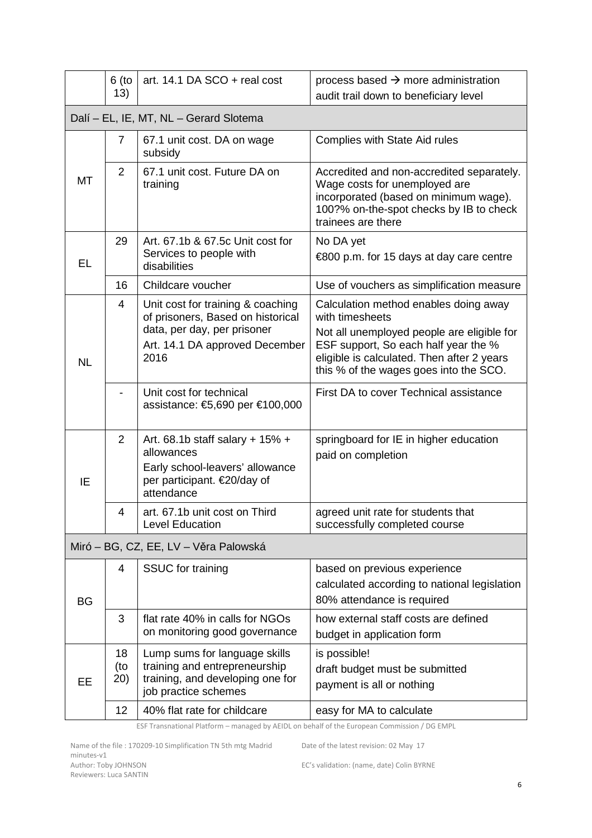|                                        | $6$ (to<br>13)    | art. 14.1 DA SCO + real cost                                                                                                                    | process based $\rightarrow$ more administration<br>audit trail down to beneficiary level                                                                                                                                               |  |  |
|----------------------------------------|-------------------|-------------------------------------------------------------------------------------------------------------------------------------------------|----------------------------------------------------------------------------------------------------------------------------------------------------------------------------------------------------------------------------------------|--|--|
| Dalí - EL, IE, MT, NL - Gerard Slotema |                   |                                                                                                                                                 |                                                                                                                                                                                                                                        |  |  |
| MT                                     | $\overline{7}$    | 67.1 unit cost. DA on wage<br>subsidy                                                                                                           | <b>Complies with State Aid rules</b>                                                                                                                                                                                                   |  |  |
|                                        | 2                 | 67.1 unit cost. Future DA on<br>training                                                                                                        | Accredited and non-accredited separately.<br>Wage costs for unemployed are<br>incorporated (based on minimum wage).<br>100?% on-the-spot checks by IB to check<br>trainees are there                                                   |  |  |
| EL                                     | 29                | Art. 67.1b & 67.5c Unit cost for<br>Services to people with<br>disabilities                                                                     | No DA yet<br>€800 p.m. for 15 days at day care centre                                                                                                                                                                                  |  |  |
|                                        | 16                | Childcare voucher                                                                                                                               | Use of vouchers as simplification measure                                                                                                                                                                                              |  |  |
| <b>NL</b>                              | 4                 | Unit cost for training & coaching<br>of prisoners, Based on historical<br>data, per day, per prisoner<br>Art. 14.1 DA approved December<br>2016 | Calculation method enables doing away<br>with timesheets<br>Not all unemployed people are eligible for<br>ESF support, So each half year the %<br>eligible is calculated. Then after 2 years<br>this % of the wages goes into the SCO. |  |  |
|                                        |                   | Unit cost for technical<br>assistance: €5,690 per €100,000                                                                                      | First DA to cover Technical assistance                                                                                                                                                                                                 |  |  |
| IE                                     | 2                 | Art. 68.1b staff salary + $15\%$ +<br>allowances<br>Early school-leavers' allowance<br>per participant. €20/day of<br>attendance                | springboard for IE in higher education<br>paid on completion                                                                                                                                                                           |  |  |
|                                        | 4                 | art. 67.1b unit cost on Third<br>Level Education                                                                                                | agreed unit rate for students that<br>successfully completed course                                                                                                                                                                    |  |  |
| Miró – BG, CZ, EE, LV – Věra Palowská  |                   |                                                                                                                                                 |                                                                                                                                                                                                                                        |  |  |
| <b>BG</b>                              | 4                 | <b>SSUC</b> for training                                                                                                                        | based on previous experience<br>calculated according to national legislation<br>80% attendance is required                                                                                                                             |  |  |
|                                        | 3                 | flat rate 40% in calls for NGOs<br>on monitoring good governance                                                                                | how external staff costs are defined<br>budget in application form                                                                                                                                                                     |  |  |
| EE                                     | 18<br>(to<br>(20) | Lump sums for language skills<br>training and entrepreneurship<br>training, and developing one for<br>job practice schemes                      | is possible!<br>draft budget must be submitted<br>payment is all or nothing                                                                                                                                                            |  |  |
|                                        | 12                | 40% flat rate for childcare                                                                                                                     | easy for MA to calculate                                                                                                                                                                                                               |  |  |

ESF Transnational Platform – managed by AEIDL on behalf of the European Commission / DG EMPL

Date of the latest revision: 02 May 17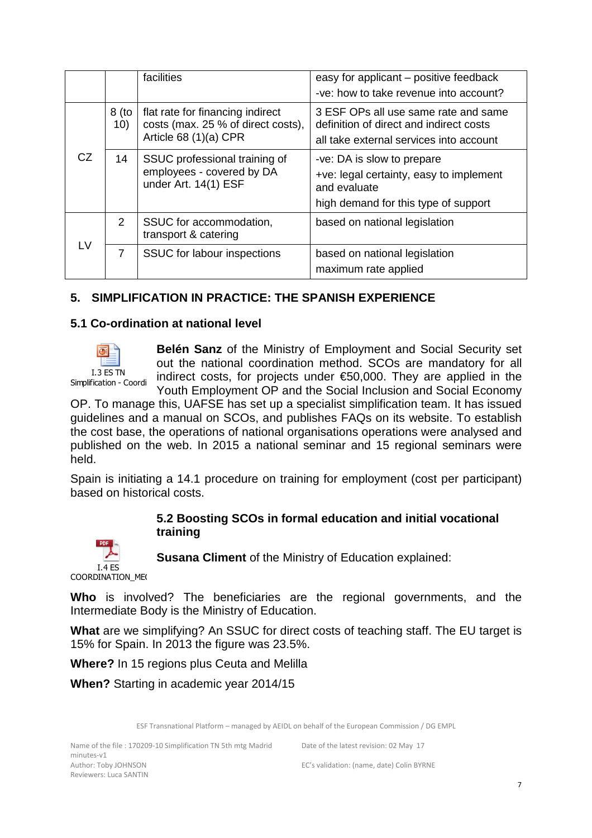|    |               | facilities                                                                                        | easy for applicant – positive feedback<br>-ve: how to take revenue into account?                                              |
|----|---------------|---------------------------------------------------------------------------------------------------|-------------------------------------------------------------------------------------------------------------------------------|
| CZ | 8 (to<br>10)  | flat rate for financing indirect<br>costs (max. 25 % of direct costs),<br>Article 68 $(1)(a)$ CPR | 3 ESF OPs all use same rate and same<br>definition of direct and indirect costs<br>all take external services into account    |
|    | 14            | SSUC professional training of<br>employees - covered by DA<br>under Art. 14(1) ESF                | -ve: DA is slow to prepare<br>+ve: legal certainty, easy to implement<br>and evaluate<br>high demand for this type of support |
| LV | $\mathcal{P}$ | SSUC for accommodation,<br>transport & catering                                                   | based on national legislation                                                                                                 |
|    | 7             | SSUC for labour inspections                                                                       | based on national legislation<br>maximum rate applied                                                                         |

## **5. SIMPLIFICATION IN PRACTICE: THE SPANISH EXPERIENCE**

## **5.1 Co-ordination at national level**



Simplification - Coordi

**Belén Sanz** of the Ministry of Employment and Social Security set out the national coordination method. SCOs are mandatory for all indirect costs, for projects under €50,000. They are applied in the Youth Employment OP and the Social Inclusion and Social Economy

OP. To manage this, UAFSE has set up a specialist simplification team. It has issued guidelines and a manual on SCOs, and publishes FAQs on its website. To establish the cost base, the operations of national organisations operations were analysed and published on the web. In 2015 a national seminar and 15 regional seminars were held.

Spain is initiating a 14.1 procedure on training for employment (cost per participant) based on historical costs.

## **5.2 Boosting SCOs in formal education and initial vocational training**



**Susana Climent** of the Ministry of Education explained:

COORDINATION\_MEC

**Who** is involved? The beneficiaries are the regional governments, and the Intermediate Body is the Ministry of Education.

**What** are we simplifying? An SSUC for direct costs of teaching staff. The EU target is 15% for Spain. In 2013 the figure was 23.5%.

**Where?** In 15 regions plus Ceuta and Melilla

**When?** Starting in academic year 2014/15

ESF Transnational Platform – managed by AEIDL on behalf of the European Commission / DG EMPL

Name of the file : 170209-10 Simplification TN 5th mtg Madrid minutes-v1 Author: Toby JOHNSON Reviewers: Luca SANTIN

Date of the latest revision: 02 May 17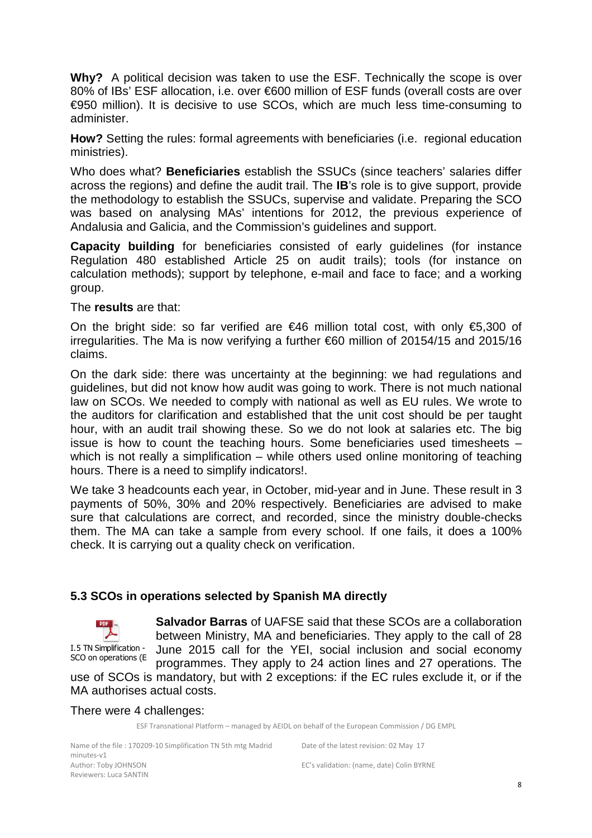**Why?** A political decision was taken to use the ESF. Technically the scope is over 80% of IBs' ESF allocation, i.e. over €600 million of ESF funds (overall costs are over €950 million). It is decisive to use SCOs, which are much less time-consuming to administer.

**How?** Setting the rules: formal agreements with beneficiaries (i.e. regional education ministries).

Who does what? **Beneficiaries** establish the SSUCs (since teachers' salaries differ across the regions) and define the audit trail. The **IB**'s role is to give support, provide the methodology to establish the SSUCs, supervise and validate. Preparing the SCO was based on analysing MAs' intentions for 2012, the previous experience of Andalusia and Galicia, and the Commission's guidelines and support.

**Capacity building** for beneficiaries consisted of early guidelines (for instance Regulation 480 established Article 25 on audit trails); tools (for instance on calculation methods); support by telephone, e-mail and face to face; and a working group.

The **results** are that:

On the bright side: so far verified are €46 million total cost, with only €5,300 of irregularities. The Ma is now verifying a further €60 million of 20154/15 and 2015/16 claims.

On the dark side: there was uncertainty at the beginning: we had regulations and guidelines, but did not know how audit was going to work. There is not much national law on SCOs. We needed to comply with national as well as EU rules. We wrote to the auditors for clarification and established that the unit cost should be per taught hour, with an audit trail showing these. So we do not look at salaries etc. The big issue is how to count the teaching hours. Some beneficiaries used timesheets – which is not really a simplification – while others used online monitoring of teaching hours. There is a need to simplify indicators!.

We take 3 headcounts each year, in October, mid-year and in June. These result in 3 payments of 50%, 30% and 20% respectively. Beneficiaries are advised to make sure that calculations are correct, and recorded, since the ministry double-checks them. The MA can take a sample from every school. If one fails, it does a 100% check. It is carrying out a quality check on verification.

## **5.3 SCOs in operations selected by Spanish MA directly**

**PDF** I.5 TN Simplification -<br>SCO on operations (E

**Salvador Barras** of UAFSE said that these SCOs are a collaboration between Ministry, MA and beneficiaries. They apply to the call of 28 June 2015 call for the YEI, social inclusion and social economy SCO on operations (E  $\overline{p}$  programmes. They apply to 24 action lines and 27 operations. The

use of SCOs is mandatory, but with 2 exceptions: if the EC rules exclude it, or if the MA authorises actual costs.

#### There were 4 challenges:

ESF Transnational Platform – managed by AEIDL on behalf of the European Commission / DG EMPL

Name of the file : 170209-10 Simplification TN 5th mtg Madrid minutes-v1 Author: Toby JOHNSON Reviewers: Luca SANTIN

Date of the latest revision: 02 May 17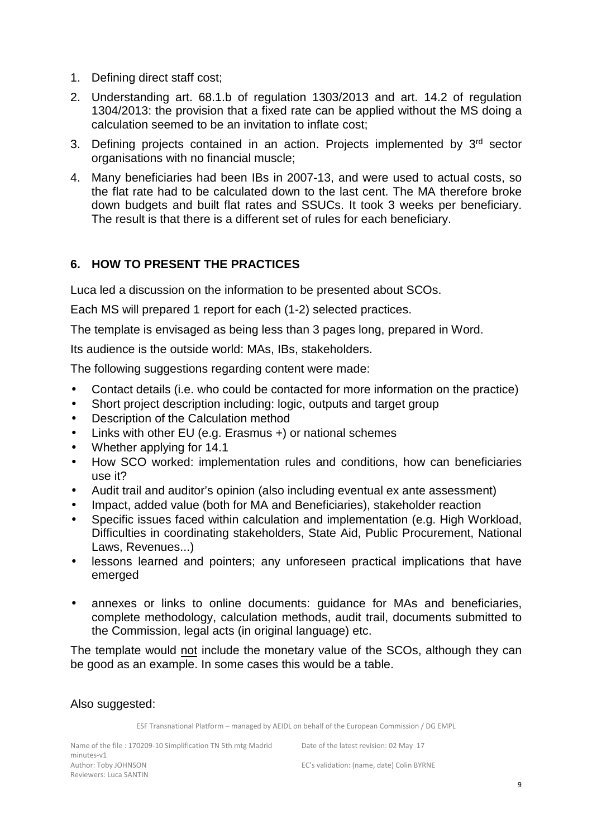- 1. Defining direct staff cost;
- 2. Understanding art. 68.1.b of regulation 1303/2013 and art. 14.2 of regulation 1304/2013: the provision that a fixed rate can be applied without the MS doing a calculation seemed to be an invitation to inflate cost;
- 3. Defining projects contained in an action. Projects implemented by  $3<sup>rd</sup>$  sector organisations with no financial muscle;
- 4. Many beneficiaries had been IBs in 2007-13, and were used to actual costs, so the flat rate had to be calculated down to the last cent. The MA therefore broke down budgets and built flat rates and SSUCs. It took 3 weeks per beneficiary. The result is that there is a different set of rules for each beneficiary.

## **6. HOW TO PRESENT THE PRACTICES**

Luca led a discussion on the information to be presented about SCOs.

Each MS will prepared 1 report for each (1-2) selected practices.

The template is envisaged as being less than 3 pages long, prepared in Word.

Its audience is the outside world: MAs, IBs, stakeholders.

The following suggestions regarding content were made:

- Contact details (i.e. who could be contacted for more information on the practice)
- Short project description including: logic, outputs and target group
- Description of the Calculation method
- Links with other EU (e.g. Erasmus +) or national schemes
- Whether applying for 14.1
- How SCO worked: implementation rules and conditions, how can beneficiaries use it?
- Audit trail and auditor's opinion (also including eventual ex ante assessment)
- Impact, added value (both for MA and Beneficiaries), stakeholder reaction
- Specific issues faced within calculation and implementation (e.g. High Workload, Difficulties in coordinating stakeholders, State Aid, Public Procurement, National Laws, Revenues...)
- lessons learned and pointers; any unforeseen practical implications that have emerged
- annexes or links to online documents: guidance for MAs and beneficiaries, complete methodology, calculation methods, audit trail, documents submitted to the Commission, legal acts (in original language) etc.

The template would not include the monetary value of the SCOs, although they can be good as an example. In some cases this would be a table.

## Also suggested:

ESF Transnational Platform – managed by AEIDL on behalf of the European Commission / DG EMPL

Name of the file : 170209-10 Simplification TN 5th mtg Madrid minutes-v1 Author: Toby JOHNSON Reviewers: Luca SANTIN

Date of the latest revision: 02 May 17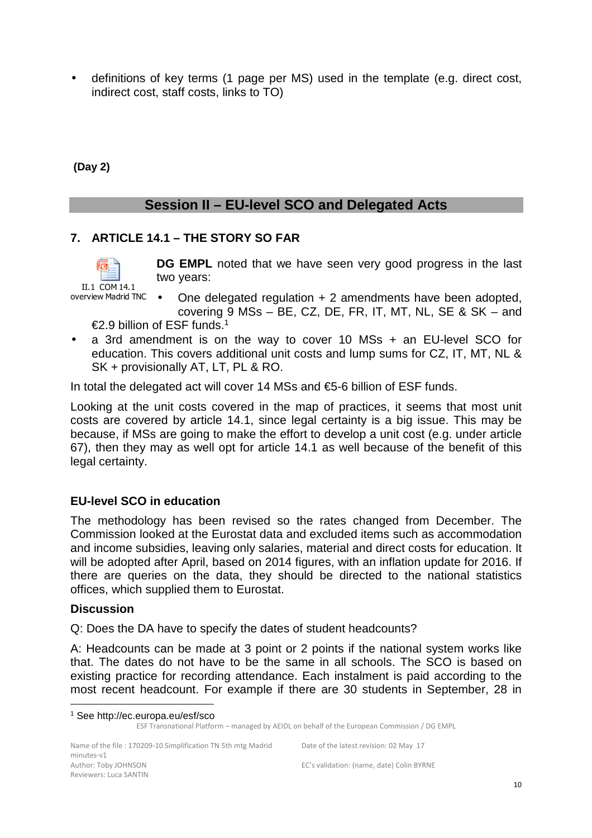• definitions of key terms (1 page per MS) used in the template (e.g. direct cost, indirect cost, staff costs, links to TO)

 **(Day 2)** 

## **Session II – EU-level SCO and Delegated Acts**

## **7. ARTICLE 14.1 – THE STORY SO FAR**

**DG EMPL** noted that we have seen very good progress in the last two years:

II.1 COM 14.1 overview Madrid TNC

lG.

- One delegated regulation + 2 amendments have been adopted, covering 9 MSs – BE, CZ, DE, FR, IT, MT, NL, SE & SK – and €2.9 billion of ESF funds.<sup>1</sup>
- a 3rd amendment is on the way to cover 10 MSs + an EU-level SCO for education. This covers additional unit costs and lump sums for CZ, IT, MT, NL & SK + provisionally AT, LT, PL & RO.

In total the delegated act will cover 14 MSs and €5-6 billion of ESF funds.

Looking at the unit costs covered in the map of practices, it seems that most unit costs are covered by article 14.1, since legal certainty is a big issue. This may be because, if MSs are going to make the effort to develop a unit cost (e.g. under article 67), then they may as well opt for article 14.1 as well because of the benefit of this legal certainty.

## **EU-level SCO in education**

The methodology has been revised so the rates changed from December. The Commission looked at the Eurostat data and excluded items such as accommodation and income subsidies, leaving only salaries, material and direct costs for education. It will be adopted after April, based on 2014 figures, with an inflation update for 2016. If there are queries on the data, they should be directed to the national statistics offices, which supplied them to Eurostat.

## **Discussion**

 $\overline{\phantom{a}}$ 

Q: Does the DA have to specify the dates of student headcounts?

A: Headcounts can be made at 3 point or 2 points if the national system works like that. The dates do not have to be the same in all schools. The SCO is based on existing practice for recording attendance. Each instalment is paid according to the most recent headcount. For example if there are 30 students in September, 28 in

<sup>1</sup> See http://ec.europa.eu/esf/sco

ESF Transnational Platform – managed by AEIDL on behalf of the European Commission / DG EMPL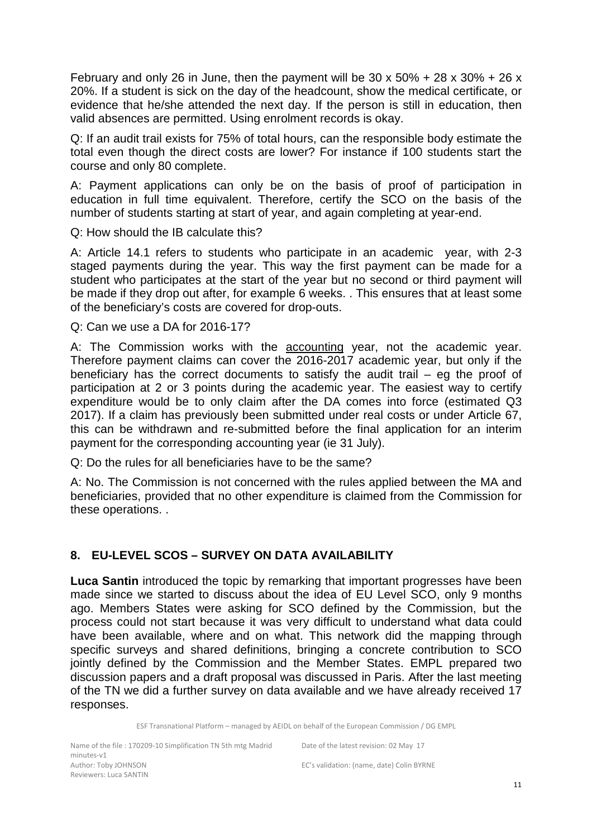February and only 26 in June, then the payment will be 30 x 50% + 28 x 30% + 26 x 20%. If a student is sick on the day of the headcount, show the medical certificate, or evidence that he/she attended the next day. If the person is still in education, then valid absences are permitted. Using enrolment records is okay.

Q: If an audit trail exists for 75% of total hours, can the responsible body estimate the total even though the direct costs are lower? For instance if 100 students start the course and only 80 complete.

A: Payment applications can only be on the basis of proof of participation in education in full time equivalent. Therefore, certify the SCO on the basis of the number of students starting at start of year, and again completing at year-end.

Q: How should the IB calculate this?

A: Article 14.1 refers to students who participate in an academic year, with 2-3 staged payments during the year. This way the first payment can be made for a student who participates at the start of the year but no second or third payment will be made if they drop out after, for example 6 weeks. . This ensures that at least some of the beneficiary's costs are covered for drop-outs.

Q: Can we use a DA for 2016-17?

A: The Commission works with the accounting year, not the academic year. Therefore payment claims can cover the 2016-2017 academic year, but only if the beneficiary has the correct documents to satisfy the audit trail – eg the proof of participation at 2 or 3 points during the academic year. The easiest way to certify expenditure would be to only claim after the DA comes into force (estimated Q3 2017). If a claim has previously been submitted under real costs or under Article 67, this can be withdrawn and re-submitted before the final application for an interim payment for the corresponding accounting year (ie 31 July).

Q: Do the rules for all beneficiaries have to be the same?

A: No. The Commission is not concerned with the rules applied between the MA and beneficiaries, provided that no other expenditure is claimed from the Commission for these operations. .

## **8. EU-LEVEL SCOS – SURVEY ON DATA AVAILABILITY**

**Luca Santin** introduced the topic by remarking that important progresses have been made since we started to discuss about the idea of EU Level SCO, only 9 months ago. Members States were asking for SCO defined by the Commission, but the process could not start because it was very difficult to understand what data could have been available, where and on what. This network did the mapping through specific surveys and shared definitions, bringing a concrete contribution to SCO jointly defined by the Commission and the Member States. EMPL prepared two discussion papers and a draft proposal was discussed in Paris. After the last meeting of the TN we did a further survey on data available and we have already received 17 responses.

ESF Transnational Platform – managed by AEIDL on behalf of the European Commission / DG EMPL

Name of the file : 170209-10 Simplification TN 5th mtg Madrid minutes-v1 Author: Toby JOHNSON Reviewers: Luca SANTIN

Date of the latest revision: 02 May 17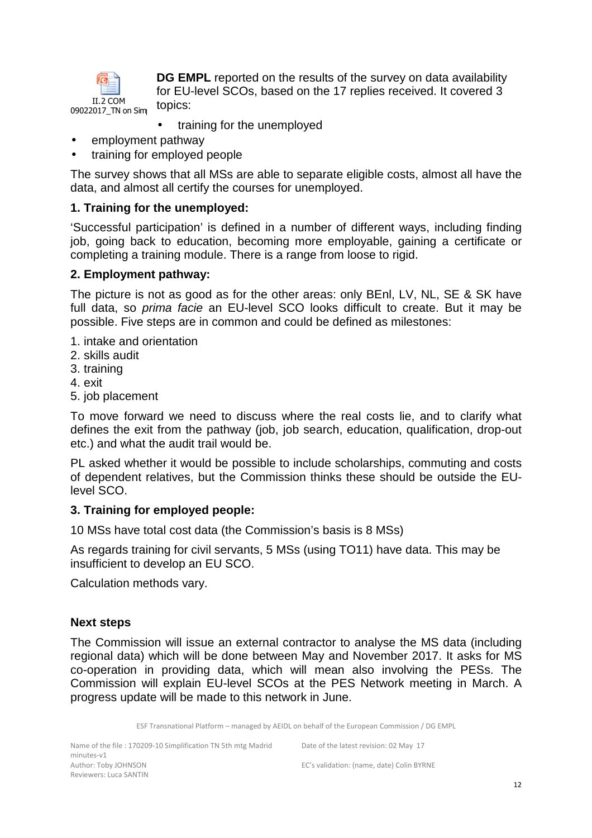

**DG EMPL** reported on the results of the survey on data availability for EU-level SCOs, based on the 17 replies received. It covered 3 topics:

- training for the unemployed
- employment pathway
- training for employed people

The survey shows that all MSs are able to separate eligible costs, almost all have the data, and almost all certify the courses for unemployed.

## **1. Training for the unemployed:**

'Successful participation' is defined in a number of different ways, including finding job, going back to education, becoming more employable, gaining a certificate or completing a training module. There is a range from loose to rigid.

## **2. Employment pathway:**

The picture is not as good as for the other areas: only BEnl, LV, NL, SE & SK have full data, so *prima facie* an EU-level SCO looks difficult to create. But it may be possible. Five steps are in common and could be defined as milestones:

- 1. intake and orientation
- 2. skills audit
- 3. training
- 4. exit
- 5. job placement

To move forward we need to discuss where the real costs lie, and to clarify what defines the exit from the pathway (job, job search, education, qualification, drop-out etc.) and what the audit trail would be.

PL asked whether it would be possible to include scholarships, commuting and costs of dependent relatives, but the Commission thinks these should be outside the EUlevel SCO.

## **3. Training for employed people:**

10 MSs have total cost data (the Commission's basis is 8 MSs)

As regards training for civil servants, 5 MSs (using TO11) have data. This may be insufficient to develop an EU SCO.

Calculation methods vary.

## **Next steps**

The Commission will issue an external contractor to analyse the MS data (including regional data) which will be done between May and November 2017. It asks for MS co-operation in providing data, which will mean also involving the PESs. The Commission will explain EU-level SCOs at the PES Network meeting in March. A progress update will be made to this network in June.

ESF Transnational Platform – managed by AEIDL on behalf of the European Commission / DG EMPL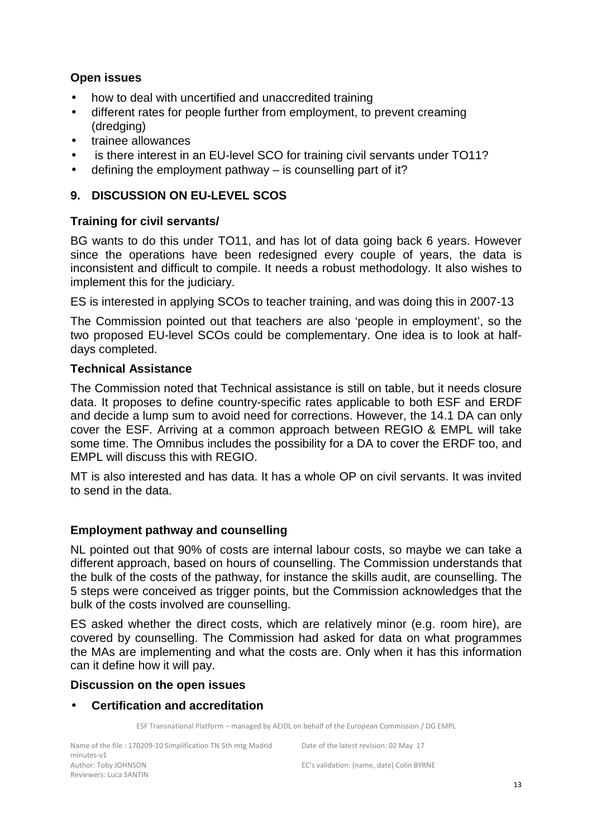## **Open issues**

- how to deal with uncertified and unaccredited training
- different rates for people further from employment, to prevent creaming (dredging)
- trainee allowances
- is there interest in an EU-level SCO for training civil servants under TO11?
- defining the employment pathway is counselling part of it?

## **9. DISCUSSION ON EU-LEVEL SCOS**

## **Training for civil servants/**

BG wants to do this under TO11, and has lot of data going back 6 years. However since the operations have been redesigned every couple of years, the data is inconsistent and difficult to compile. It needs a robust methodology. It also wishes to implement this for the judiciary.

ES is interested in applying SCOs to teacher training, and was doing this in 2007-13

The Commission pointed out that teachers are also 'people in employment', so the two proposed EU-level SCOs could be complementary. One idea is to look at halfdays completed.

## **Technical Assistance**

The Commission noted that Technical assistance is still on table, but it needs closure data. It proposes to define country-specific rates applicable to both ESF and ERDF and decide a lump sum to avoid need for corrections. However, the 14.1 DA can only cover the ESF. Arriving at a common approach between REGIO & EMPL will take some time. The Omnibus includes the possibility for a DA to cover the ERDF too, and EMPL will discuss this with REGIO.

MT is also interested and has data. It has a whole OP on civil servants. It was invited to send in the data.

## **Employment pathway and counselling**

NL pointed out that 90% of costs are internal labour costs, so maybe we can take a different approach, based on hours of counselling. The Commission understands that the bulk of the costs of the pathway, for instance the skills audit, are counselling. The 5 steps were conceived as trigger points, but the Commission acknowledges that the bulk of the costs involved are counselling.

ES asked whether the direct costs, which are relatively minor (e.g. room hire), are covered by counselling. The Commission had asked for data on what programmes the MAs are implementing and what the costs are. Only when it has this information can it define how it will pay.

## **Discussion on the open issues**

## • **Certification and accreditation**

ESF Transnational Platform – managed by AEIDL on behalf of the European Commission / DG EMPL

Name of the file : 170209-10 Simplification TN 5th mtg Madrid minutes-v1 Author: Toby JOHNSON Reviewers: Luca SANTIN

Date of the latest revision: 02 May 17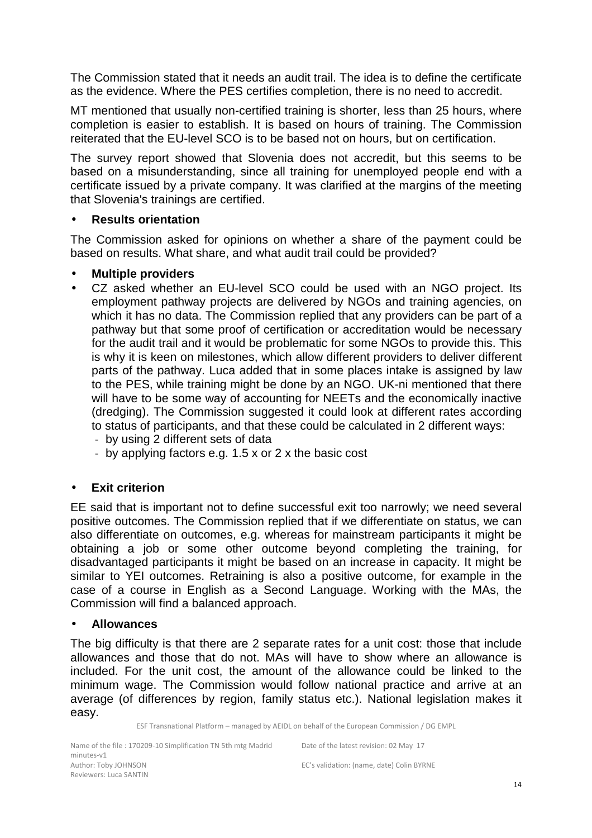The Commission stated that it needs an audit trail. The idea is to define the certificate as the evidence. Where the PES certifies completion, there is no need to accredit.

MT mentioned that usually non-certified training is shorter, less than 25 hours, where completion is easier to establish. It is based on hours of training. The Commission reiterated that the EU-level SCO is to be based not on hours, but on certification.

The survey report showed that Slovenia does not accredit, but this seems to be based on a misunderstanding, since all training for unemployed people end with a certificate issued by a private company. It was clarified at the margins of the meeting that Slovenia's trainings are certified.

## • **Results orientation**

The Commission asked for opinions on whether a share of the payment could be based on results. What share, and what audit trail could be provided?

#### • **Multiple providers**

- CZ asked whether an EU-level SCO could be used with an NGO project. Its employment pathway projects are delivered by NGOs and training agencies, on which it has no data. The Commission replied that any providers can be part of a pathway but that some proof of certification or accreditation would be necessary for the audit trail and it would be problematic for some NGOs to provide this. This is why it is keen on milestones, which allow different providers to deliver different parts of the pathway. Luca added that in some places intake is assigned by law to the PES, while training might be done by an NGO. UK-ni mentioned that there will have to be some way of accounting for NEETs and the economically inactive (dredging). The Commission suggested it could look at different rates according to status of participants, and that these could be calculated in 2 different ways:
	- by using 2 different sets of data
	- by applying factors e.g. 1.5 x or 2 x the basic cost

## • **Exit criterion**

EE said that is important not to define successful exit too narrowly; we need several positive outcomes. The Commission replied that if we differentiate on status, we can also differentiate on outcomes, e.g. whereas for mainstream participants it might be obtaining a job or some other outcome beyond completing the training, for disadvantaged participants it might be based on an increase in capacity. It might be similar to YEI outcomes. Retraining is also a positive outcome, for example in the case of a course in English as a Second Language. Working with the MAs, the Commission will find a balanced approach.

## • **Allowances**

The big difficulty is that there are 2 separate rates for a unit cost: those that include allowances and those that do not. MAs will have to show where an allowance is included. For the unit cost, the amount of the allowance could be linked to the minimum wage. The Commission would follow national practice and arrive at an average (of differences by region, family status etc.). National legislation makes it easy.

ESF Transnational Platform – managed by AEIDL on behalf of the European Commission / DG EMPL

Date of the latest revision: 02 May 17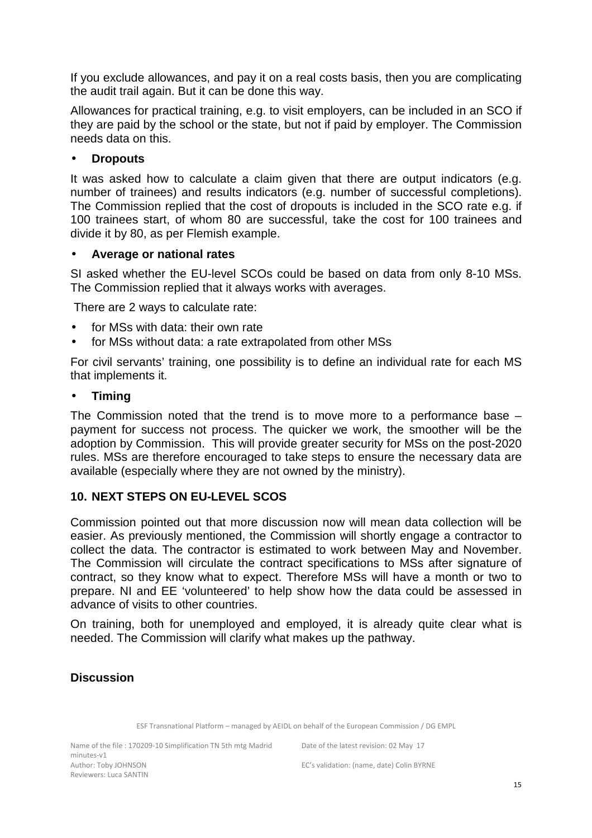If you exclude allowances, and pay it on a real costs basis, then you are complicating the audit trail again. But it can be done this way.

Allowances for practical training, e.g. to visit employers, can be included in an SCO if they are paid by the school or the state, but not if paid by employer. The Commission needs data on this.

## • **Dropouts**

It was asked how to calculate a claim given that there are output indicators (e.g. number of trainees) and results indicators (e.g. number of successful completions). The Commission replied that the cost of dropouts is included in the SCO rate e.g. if 100 trainees start, of whom 80 are successful, take the cost for 100 trainees and divide it by 80, as per Flemish example.

## • **Average or national rates**

SI asked whether the EU-level SCOs could be based on data from only 8-10 MSs. The Commission replied that it always works with averages.

There are 2 ways to calculate rate:

- for MSs with data: their own rate
- for MSs without data: a rate extrapolated from other MSs

For civil servants' training, one possibility is to define an individual rate for each MS that implements it.

## • **Timing**

The Commission noted that the trend is to move more to a performance base – payment for success not process. The quicker we work, the smoother will be the adoption by Commission. This will provide greater security for MSs on the post-2020 rules. MSs are therefore encouraged to take steps to ensure the necessary data are available (especially where they are not owned by the ministry).

## **10. NEXT STEPS ON EU-LEVEL SCOS**

Commission pointed out that more discussion now will mean data collection will be easier. As previously mentioned, the Commission will shortly engage a contractor to collect the data. The contractor is estimated to work between May and November. The Commission will circulate the contract specifications to MSs after signature of contract, so they know what to expect. Therefore MSs will have a month or two to prepare. NI and EE 'volunteered' to help show how the data could be assessed in advance of visits to other countries.

On training, both for unemployed and employed, it is already quite clear what is needed. The Commission will clarify what makes up the pathway.

## **Discussion**

ESF Transnational Platform – managed by AEIDL on behalf of the European Commission / DG EMPL

Name of the file : 170209-10 Simplification TN 5th mtg Madrid minutes-v1 Author: Toby JOHNSON Reviewers: Luca SANTIN

Date of the latest revision: 02 May 17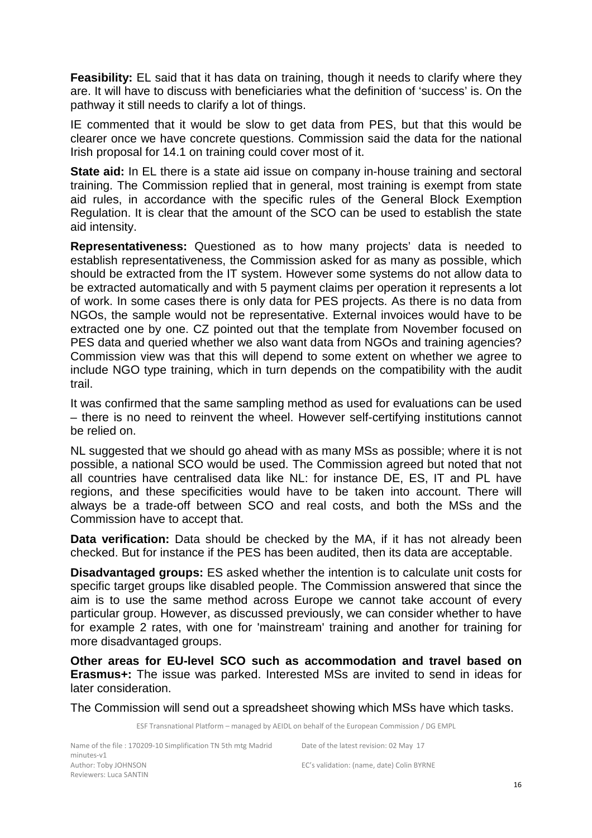**Feasibility:** EL said that it has data on training, though it needs to clarify where they are. It will have to discuss with beneficiaries what the definition of 'success' is. On the pathway it still needs to clarify a lot of things.

IE commented that it would be slow to get data from PES, but that this would be clearer once we have concrete questions. Commission said the data for the national Irish proposal for 14.1 on training could cover most of it.

**State aid:** In EL there is a state aid issue on company in-house training and sectoral training. The Commission replied that in general, most training is exempt from state aid rules, in accordance with the specific rules of the General Block Exemption Regulation. It is clear that the amount of the SCO can be used to establish the state aid intensity.

**Representativeness:** Questioned as to how many projects' data is needed to establish representativeness, the Commission asked for as many as possible, which should be extracted from the IT system. However some systems do not allow data to be extracted automatically and with 5 payment claims per operation it represents a lot of work. In some cases there is only data for PES projects. As there is no data from NGOs, the sample would not be representative. External invoices would have to be extracted one by one. CZ pointed out that the template from November focused on PES data and queried whether we also want data from NGOs and training agencies? Commission view was that this will depend to some extent on whether we agree to include NGO type training, which in turn depends on the compatibility with the audit trail.

It was confirmed that the same sampling method as used for evaluations can be used – there is no need to reinvent the wheel. However self-certifying institutions cannot be relied on.

NL suggested that we should go ahead with as many MSs as possible; where it is not possible, a national SCO would be used. The Commission agreed but noted that not all countries have centralised data like NL: for instance DE, ES, IT and PL have regions, and these specificities would have to be taken into account. There will always be a trade-off between SCO and real costs, and both the MSs and the Commission have to accept that.

**Data verification:** Data should be checked by the MA, if it has not already been checked. But for instance if the PES has been audited, then its data are acceptable.

**Disadvantaged groups:** ES asked whether the intention is to calculate unit costs for specific target groups like disabled people. The Commission answered that since the aim is to use the same method across Europe we cannot take account of every particular group. However, as discussed previously, we can consider whether to have for example 2 rates, with one for 'mainstream' training and another for training for more disadvantaged groups.

**Other areas for EU-level SCO such as accommodation and travel based on Erasmus+:** The issue was parked. Interested MSs are invited to send in ideas for later consideration.

The Commission will send out a spreadsheet showing which MSs have which tasks.

ESF Transnational Platform – managed by AEIDL on behalf of the European Commission / DG EMPL

Name of the file : 170209-10 Simplification TN 5th mtg Madrid minutes-v1 Author: Toby JOHNSON Reviewers: Luca SANTIN

Date of the latest revision: 02 May 17 EC's validation: (name, date) Colin BYRNE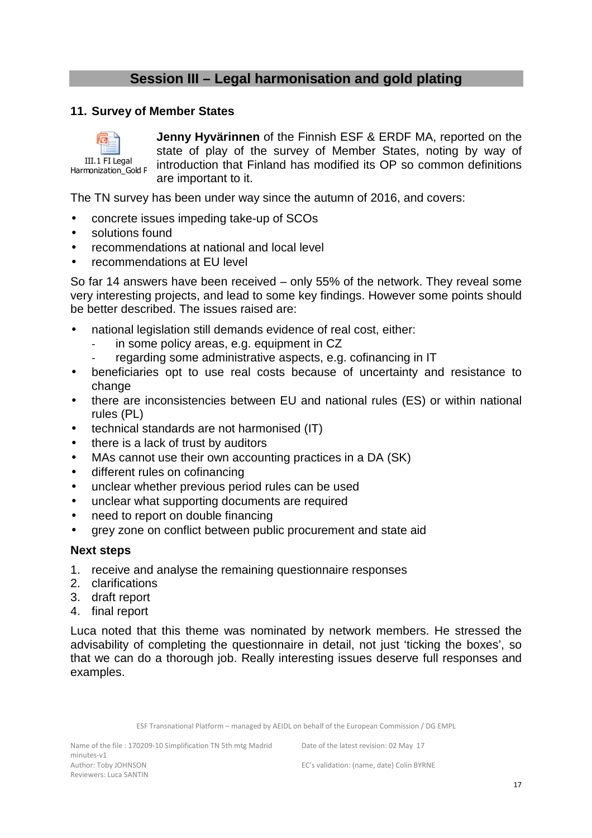# **Session III – Legal harmonisation and gold plating**

## **11. Survey of Member States**



III.1 FI Legal Harmonization\_Gold F **Jenny Hyvärinnen** of the Finnish ESF & ERDF MA, reported on the state of play of the survey of Member States, noting by way of introduction that Finland has modified its OP so common definitions are important to it.

The TN survey has been under way since the autumn of 2016, and covers:

- concrete issues impeding take-up of SCOs
- solutions found
- recommendations at national and local level
- recommendations at EU level

So far 14 answers have been received – only 55% of the network. They reveal some very interesting projects, and lead to some key findings. However some points should be better described. The issues raised are:

- national legislation still demands evidence of real cost, either:
	- in some policy areas, e.g. equipment in CZ
	- regarding some administrative aspects, e.g. cofinancing in IT
- beneficiaries opt to use real costs because of uncertainty and resistance to change
- there are inconsistencies between EU and national rules (ES) or within national rules (PL)
- technical standards are not harmonised (IT)
- there is a lack of trust by auditors
- MAs cannot use their own accounting practices in a DA (SK)
- different rules on cofinancing
- unclear whether previous period rules can be used
- unclear what supporting documents are required
- need to report on double financing
- grey zone on conflict between public procurement and state aid

#### **Next steps**

- 1. receive and analyse the remaining questionnaire responses
- 2. clarifications
- 3. draft report
- 4. final report

Luca noted that this theme was nominated by network members. He stressed the advisability of completing the questionnaire in detail, not just 'ticking the boxes', so that we can do a thorough job. Really interesting issues deserve full responses and examples.

ESF Transnational Platform – managed by AEIDL on behalf of the European Commission / DG EMPL